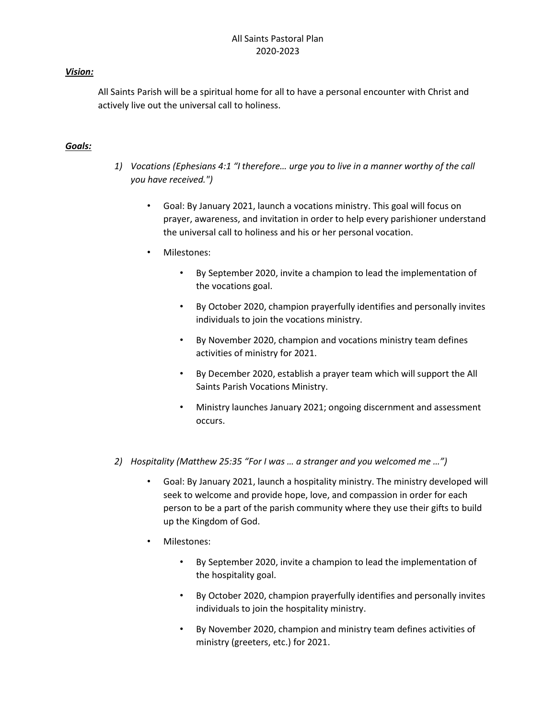## Vision:

All Saints Parish will be a spiritual home for all to have a personal encounter with Christ and actively live out the universal call to holiness.

#### Goals:

- 1) Vocations (Ephesians 4:1 "I therefore… urge you to live in a manner worthy of the call you have received.")
	- Goal: By January 2021, launch a vocations ministry. This goal will focus on prayer, awareness, and invitation in order to help every parishioner understand the universal call to holiness and his or her personal vocation.
	- Milestones:
		- By September 2020, invite a champion to lead the implementation of the vocations goal.
		- By October 2020, champion prayerfully identifies and personally invites individuals to join the vocations ministry.
		- By November 2020, champion and vocations ministry team defines activities of ministry for 2021.
		- By December 2020, establish a prayer team which will support the All Saints Parish Vocations Ministry.
		- Ministry launches January 2021; ongoing discernment and assessment occurs.
- 2) Hospitality (Matthew 25:35 "For I was … a stranger and you welcomed me …")
	- Goal: By January 2021, launch a hospitality ministry. The ministry developed will seek to welcome and provide hope, love, and compassion in order for each person to be a part of the parish community where they use their gifts to build up the Kingdom of God.
	- Milestones:
		- By September 2020, invite a champion to lead the implementation of the hospitality goal.
		- By October 2020, champion prayerfully identifies and personally invites individuals to join the hospitality ministry.
		- By November 2020, champion and ministry team defines activities of ministry (greeters, etc.) for 2021.